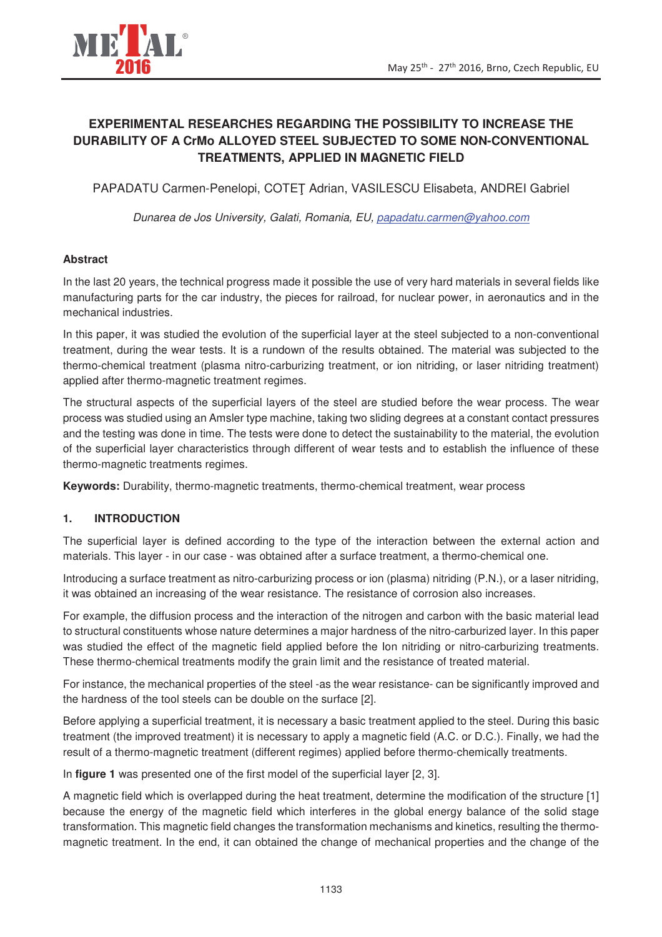

# **EXPERIMENTAL RESEARCHES REGARDING THE POSSIBILITY TO INCREASE THE DURABILITY OF A CrMo ALLOYED STEEL SUBJECTED TO SOME NON-CONVENTIONAL TREATMENTS, APPLIED IN MAGNETIC FIELD**

PAPADATU Carmen-Penelopi, COTET Adrian, VASILESCU Elisabeta, ANDREI Gabriel

Dunarea de Jos University, Galati, Romania, EU, papadatu.carmen@yahoo.com

# **Abstract**

In the last 20 years, the technical progress made it possible the use of very hard materials in several fields like manufacturing parts for the car industry, the pieces for railroad, for nuclear power, in aeronautics and in the mechanical industries.

In this paper, it was studied the evolution of the superficial layer at the steel subjected to a non-conventional treatment, during the wear tests. It is a rundown of the results obtained. The material was subjected to the thermo-chemical treatment (plasma nitro-carburizing treatment, or ion nitriding, or laser nitriding treatment) applied after thermo-magnetic treatment regimes.

The structural aspects of the superficial layers of the steel are studied before the wear process. The wear process was studied using an Amsler type machine, taking two sliding degrees at a constant contact pressures and the testing was done in time. The tests were done to detect the sustainability to the material, the evolution of the superficial layer characteristics through different of wear tests and to establish the influence of these thermo-magnetic treatments regimes.

**Keywords:** Durability, thermo-magnetic treatments, thermo-chemical treatment, wear process

### **1. INTRODUCTION**

The superficial layer is defined according to the type of the interaction between the external action and materials. This layer - in our case - was obtained after a surface treatment, a thermo-chemical one.

Introducing a surface treatment as nitro-carburizing process or ion (plasma) nitriding (P.N.), or a laser nitriding, it was obtained an increasing of the wear resistance. The resistance of corrosion also increases.

For example, the diffusion process and the interaction of the nitrogen and carbon with the basic material lead to structural constituents whose nature determines a major hardness of the nitro-carburized layer. In this paper was studied the effect of the magnetic field applied before the Ion nitriding or nitro-carburizing treatments. These thermo-chemical treatments modify the grain limit and the resistance of treated material.

For instance, the mechanical properties of the steel -as the wear resistance- can be significantly improved and the hardness of the tool steels can be double on the surface [2].

Before applying a superficial treatment, it is necessary a basic treatment applied to the steel. During this basic treatment (the improved treatment) it is necessary to apply a magnetic field (A.C. or D.C.). Finally, we had the result of a thermo-magnetic treatment (different regimes) applied before thermo-chemically treatments.

In **figure 1** was presented one of the first model of the superficial layer [2, 3].

A magnetic field which is overlapped during the heat treatment, determine the modification of the structure [1] because the energy of the magnetic field which interferes in the global energy balance of the solid stage transformation. This magnetic field changes the transformation mechanisms and kinetics, resulting the thermomagnetic treatment. In the end, it can obtained the change of mechanical properties and the change of the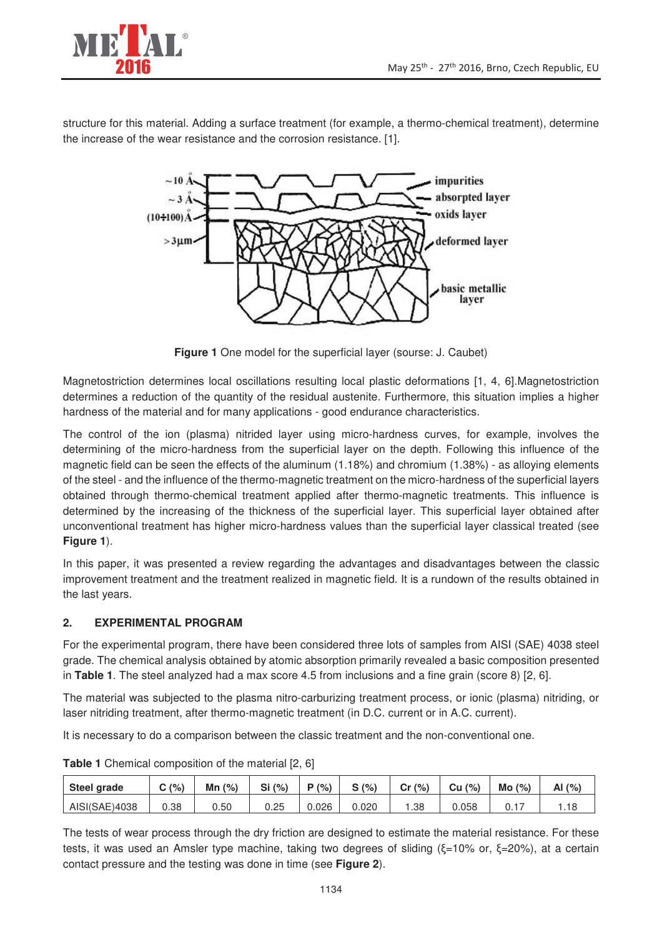

structure for this material. Adding a surface treatment (for example, a thermo-chemical treatment), determine the increase of the wear resistance and the corrosion resistance. [1].



**Figure 1** One model for the superficial layer (sourse: J. Caubet)

Magnetostriction determines local oscillations resulting local plastic deformations [1, 4, 6].Magnetostriction determines a reduction of the quantity of the residual austenite. Furthermore, this situation implies a higher hardness of the material and for many applications - good endurance characteristics.

The control of the ion (plasma) nitrided layer using micro-hardness curves, for example, involves the determining of the micro-hardness from the superficial layer on the depth. Following this influence of the magnetic field can be seen the effects of the aluminum (1.18%) and chromium (1.38%) - as alloying elements of the steel - and the influence of the thermo-magnetic treatment on the micro-hardness of the superficial layers obtained through thermo-chemical treatment applied after thermo-magnetic treatments. This influence is determined by the increasing of the thickness of the superficial layer. This superficial layer obtained after unconventional treatment has higher micro-hardness values than the superficial layer classical treated (see **Figure 1**).

In this paper, it was presented a review regarding the advantages and disadvantages between the classic improvement treatment and the treatment realized in magnetic field. It is a rundown of the results obtained in the last years.

### **2. EXPERIMENTAL PROGRAM**

For the experimental program, there have been considered three lots of samples from AISI (SAE) 4038 steel grade. The chemical analysis obtained by atomic absorption primarily revealed a basic composition presented in **Table 1**. The steel analyzed had a max score 4.5 from inclusions and a fine grain (score 8) [2, 6].

The material was subjected to the plasma nitro-carburizing treatment process, or ionic (plasma) nitriding, or laser nitriding treatment, after thermo-magnetic treatment (in D.C. current or in A.C. current).

It is necessary to do a comparison between the classic treatment and the non-conventional one.

| Steel grade   | (%)<br>$\tilde{\phantom{a}}$ | Mn<br>(%) | Si<br>(% ) | (%)<br>D | S(% )<br>ີ | Cr(%) | Cu<br>(% ) | Mo<br>(% ) | Al<br>(% ) |
|---------------|------------------------------|-----------|------------|----------|------------|-------|------------|------------|------------|
| AISI(SAE)4038 | 0.38                         | 0.50      | 0.25       | 0.026    | 0.020      | .38   | 0.058      | ∪. ı       | .          |

**Table 1** Chemical composition of the material [2, 6]

The tests of wear process through the dry friction are designed to estimate the material resistance. For these tests, it was used an Amsler type machine, taking two degrees of sliding  $(\xi=10\%$  or,  $\xi=20\%$ ), at a certain contact pressure and the testing was done in time (see **Figure 2**).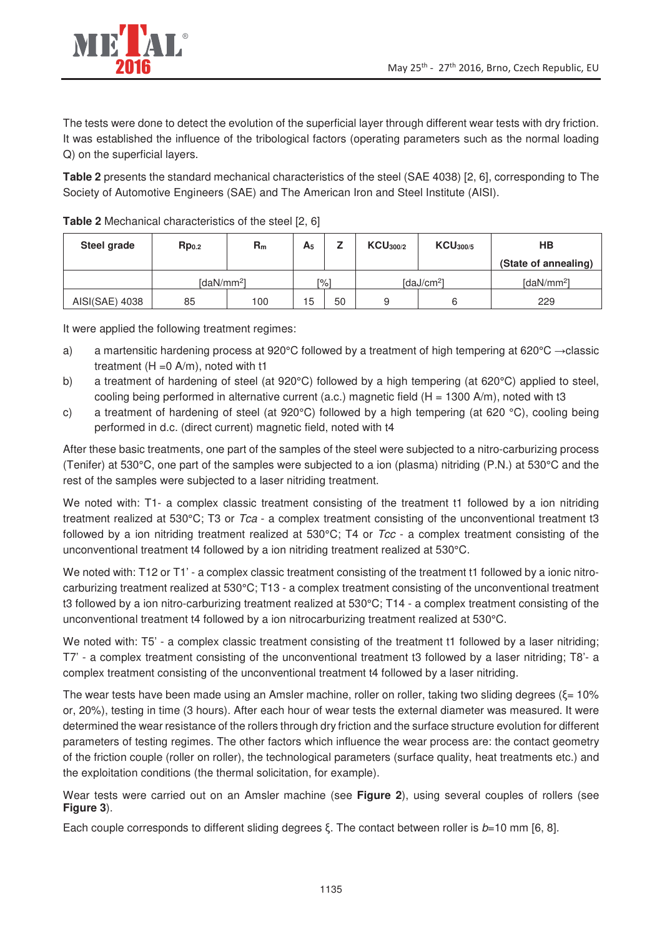

The tests were done to detect the evolution of the superficial layer through different wear tests with dry friction. It was established the influence of the tribological factors (operating parameters such as the normal loading Q) on the superficial layers.

**Table 2** presents the standard mechanical characteristics of the steel (SAE 4038) [2, 6], corresponding to The Society of Automotive Engineers (SAE) and The American Iron and Steel Institute (AISI).

| Steel grade    | Rp <sub>0.2</sub>  | $R_m$ | $A_5$<br>- |                        | KCU <sub>300/2</sub> | KCU <sub>300/5</sub>      | HВ                   |  |
|----------------|--------------------|-------|------------|------------------------|----------------------|---------------------------|----------------------|--|
|                |                    |       |            |                        |                      |                           | (State of annealing) |  |
|                | $\text{IdaN/mm}^2$ | [%]   |            | [daJ/cm <sup>2</sup> ] |                      | $[d$ aN/mm <sup>2</sup> l |                      |  |
| AISI(SAE) 4038 | 85                 | 100   | 15         | 50                     | a                    | ь                         | 229                  |  |

**Table 2** Mechanical characteristics of the steel [2, 6]

It were applied the following treatment regimes:

- a) a martensitic hardening process at 920°C followed by a treatment of high tempering at 620°C  $\rightarrow$  classic treatment  $(H = 0 A/m)$ , noted with t1
- b) a treatment of hardening of steel (at 920°C) followed by a high tempering (at 620°C) applied to steel, cooling being performed in alternative current (a.c.) magnetic field ( $H = 1300$  A/m), noted with t3
- c) a treatment of hardening of steel (at 920°C) followed by a high tempering (at 620 °C), cooling being performed in d.c. (direct current) magnetic field, noted with t4

After these basic treatments, one part of the samples of the steel were subjected to a nitro-carburizing process (Tenifer) at 530°C, one part of the samples were subjected to a ion (plasma) nitriding (P.N.) at 530°C and the rest of the samples were subjected to a laser nitriding treatment.

We noted with: T1- a complex classic treatment consisting of the treatment t1 followed by a ion nitriding treatment realized at 530 $\degree$ C; T3 or Tca - a complex treatment consisting of the unconventional treatment t3 followed by a ion nitriding treatment realized at  $530^{\circ}$ C; T4 or  $Tcc$  - a complex treatment consisting of the unconventional treatment t4 followed by a ion nitriding treatment realized at 530°C.

We noted with: T12 or T1' - a complex classic treatment consisting of the treatment t1 followed by a ionic nitrocarburizing treatment realized at 530°C; T13 - a complex treatment consisting of the unconventional treatment t3 followed by a ion nitro-carburizing treatment realized at 530°C; T14 - a complex treatment consisting of the unconventional treatment t4 followed by a ion nitrocarburizing treatment realized at 530°C.

We noted with: T5' - a complex classic treatment consisting of the treatment t1 followed by a laser nitriding; T7' - a complex treatment consisting of the unconventional treatment t3 followed by a laser nitriding; T8'- a complex treatment consisting of the unconventional treatment t4 followed by a laser nitriding.

The wear tests have been made using an Amsler machine, roller on roller, taking two sliding degrees ( $\xi$ = 10% or, 20%), testing in time (3 hours). After each hour of wear tests the external diameter was measured. It were determined the wear resistance of the rollers through dry friction and the surface structure evolution for different parameters of testing regimes. The other factors which influence the wear process are: the contact geometry of the friction couple (roller on roller), the technological parameters (surface quality, heat treatments etc.) and the exploitation conditions (the thermal solicitation, for example).

Wear tests were carried out on an Amsler machine (see **Figure 2**), using several couples of rollers (see **Figure 3**).

Each couple corresponds to different sliding degrees  $\xi$ . The contact between roller is  $b=10$  mm [6, 8].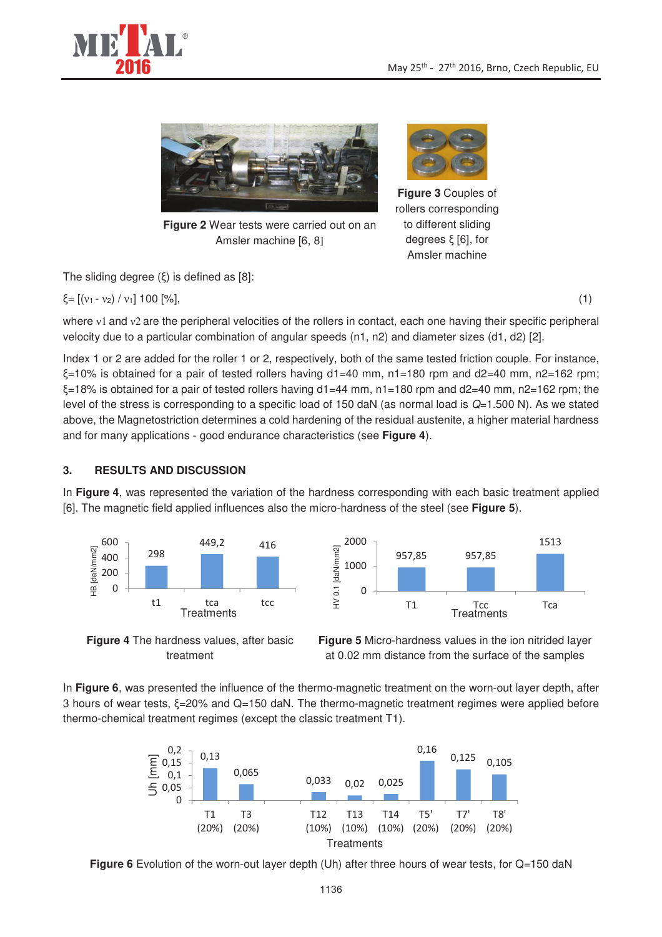



**Figure 2** Wear tests were carried out on an Amsler machine [6, 8]

The sliding degree  $(\xi)$  is defined as [8]:

$$
\xi = [(v_1 - v_2) / v_1] 100 [%], \tag{1}
$$

**Figure 3** Couples of rollers corresponding to different sliding degrees  $\xi$  [6], for Amsler machine

where  $v1$  and  $v2$  are the peripheral velocities of the rollers in contact, each one having their specific peripheral velocity due to a particular combination of angular speeds (n1, n2) and diameter sizes (d1, d2) [2].

Index 1 or 2 are added for the roller 1 or 2, respectively, both of the same tested friction couple. For instance,  $\xi$ =10% is obtained for a pair of tested rollers having d1=40 mm, n1=180 rpm and d2=40 mm, n2=162 rpm;  $\xi$ =18% is obtained for a pair of tested rollers having d1=44 mm, n1=180 rpm and d2=40 mm, n2=162 rpm; the level of the stress is corresponding to a specific load of 150 daN (as normal load is  $Q=1.500$  N). As we stated above, the Magnetostriction determines a cold hardening of the residual austenite, a higher material hardness and for many applications - good endurance characteristics (see **Figure 4**).

# **3. RESULTS AND DISCUSSION**

In **Figure 4**, was represented the variation of the hardness corresponding with each basic treatment applied [6]. The magnetic field applied influences also the micro-hardness of the steel (see **Figure 5**).





**Figure 4** The hardness values, after basic treatment

**Figure 5** Micro-hardness values in the ion nitrided layer at 0.02 mm distance from the surface of the samples

In **Figure 6**, was presented the influence of the thermo-magnetic treatment on the worn-out layer depth, after 3 hours of wear tests,  $\xi$ =20% and Q=150 daN. The thermo-magnetic treatment regimes were applied before thermo-chemical treatment regimes (except the classic treatment T1).



**Figure 6** Evolution of the worn-out layer depth (Uh) after three hours of wear tests, for Q=150 daN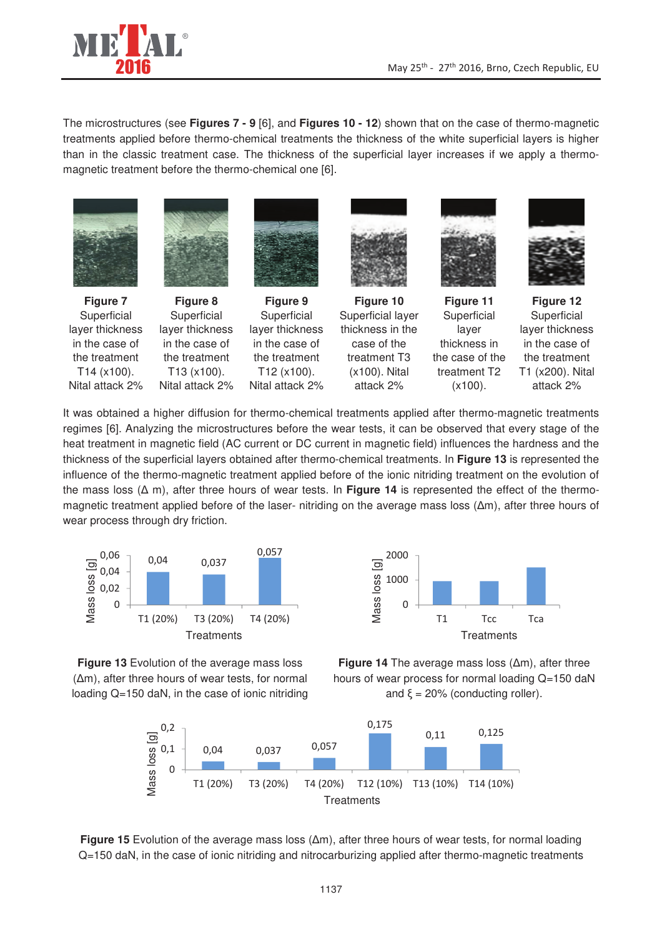

The microstructures (see **Figures 7 - 9** [6], and **Figures 10 - 12**) shown that on the case of thermo-magnetic treatments applied before thermo-chemical treatments the thickness of the white superficial layers is higher than in the classic treatment case. The thickness of the superficial layer increases if we apply a thermomagnetic treatment before the thermo-chemical one [6].



It was obtained a higher diffusion for thermo-chemical treatments applied after thermo-magnetic treatments regimes [6]. Analyzing the microstructures before the wear tests, it can be observed that every stage of the heat treatment in magnetic field (AC current or DC current in magnetic field) influences the hardness and the thickness of the superficial layers obtained after thermo-chemical treatments. In **Figure 13** is represented the influence of the thermo-magnetic treatment applied before of the ionic nitriding treatment on the evolution of the mass loss  $(\Delta m)$ , after three hours of wear tests. In **Figure 14** is represented the effect of the thermomagnetic treatment applied before of the laser- nitriding on the average mass loss  $(\Delta m)$ , after three hours of wear process through dry friction.







**Figure 14** The average mass loss  $(\Delta m)$ , after three hours of wear process for normal loading Q=150 daN and  $\xi = 20\%$  (conducting roller).



**Figure 15** Evolution of the average mass loss  $(\Delta m)$ , after three hours of wear tests, for normal loading Q=150 daN, in the case of ionic nitriding and nitrocarburizing applied after thermo-magnetic treatments